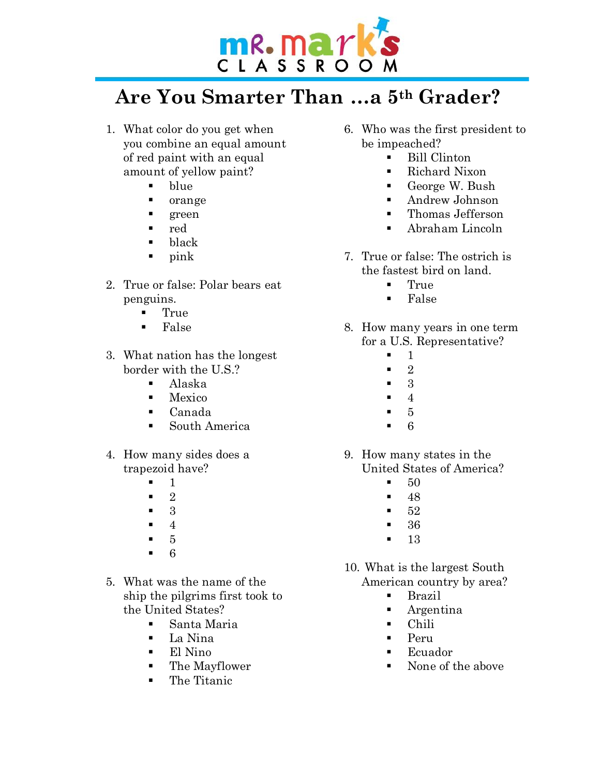

## **Are You Smarter Than …a 5th Grader?**

- 1. What color do you get when you combine an equal amount of red paint with an equal amount of yellow paint?
	- blue
	- $\blacksquare$  orange
	- ß green
	- ß red
	- $\blacksquare$  black
	- $\blacksquare$  pink
- 2. True or false: Polar bears eat penguins.
	- $\blacksquare$  True
	- ß False
- 3. What nation has the longest border with the U.S.?
	- Alaska
	- $M$ exico
	- ß Canada
	- ß South America
- 4. How many sides does a trapezoid have?
	- $\mathbf{1}$
	- ß 2
	- ß 3
	- $\blacksquare$  4
	- $\blacksquare$  5
	- $-6$
- 5. What was the name of the ship the pilgrims first took to the United States?
	- Santa Maria
	- ß La Nina
	- $\blacksquare$  El Nino
	- The Mayflower
	- The Titanic
- 6. Who was the first president to be impeached?
	- **Bill Clinton**
	- Richard Nixon
	- George W. Bush
	- **Andrew Johnson**
	- Thomas Jefferson
	- ß Abraham Lincoln
- 7. True or false: The ostrich is the fastest bird on land.
	- $\blacksquare$  True
	- $\blacksquare$  False
- 8. How many years in one term for a U.S. Representative?
	- $\blacksquare$  1
	- $\blacksquare$  2
	- $\blacksquare$  3
	- $\blacksquare$  4
	- $5$
	- $-6$
- 9. How many states in the United States of America?
	- $\blacksquare$  50
	- $\blacksquare$  48
	- $\blacksquare$  52
	- $-36$
	- $\blacksquare$  13

10. What is the largest South American country by area?

- $\blacksquare$  Brazil
- $A$ rgentina
- Chili
- ß Peru
- **Ecuador**
- ß None of the above